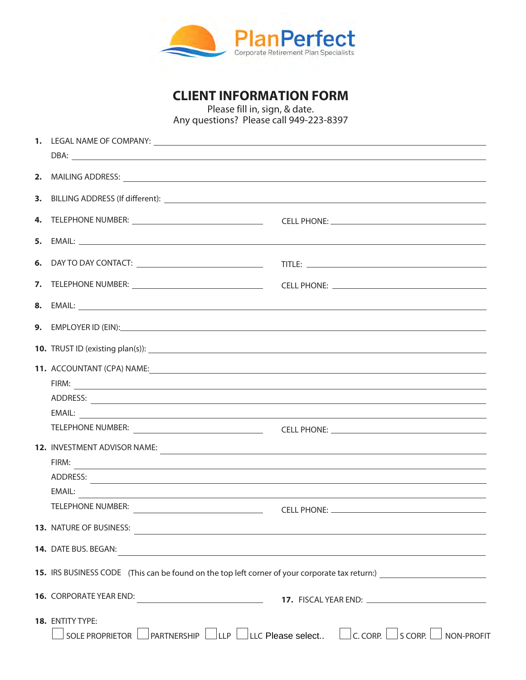

**CLIENT INFORMATION FORM**

Please fill in, sign, & date. Any questions? Please call 949-223-8397

|  | 2. MAILING ADDRESS: Lawrence and the contract of the contract of the contract of the contract of the contract of the contract of the contract of the contract of the contract of the contract of the contract of the contract             |                                                                                                         |  |
|--|-------------------------------------------------------------------------------------------------------------------------------------------------------------------------------------------------------------------------------------------|---------------------------------------------------------------------------------------------------------|--|
|  |                                                                                                                                                                                                                                           |                                                                                                         |  |
|  |                                                                                                                                                                                                                                           |                                                                                                         |  |
|  |                                                                                                                                                                                                                                           |                                                                                                         |  |
|  |                                                                                                                                                                                                                                           |                                                                                                         |  |
|  |                                                                                                                                                                                                                                           |                                                                                                         |  |
|  |                                                                                                                                                                                                                                           |                                                                                                         |  |
|  | <b>9.</b> EMPLOYER ID (EIN): <u>Contract the Contract of Contract of Contract of Contract of Contract of Contract of Contract of Contract of Contract of Contract of Contract of Contract of Contract of Contract of Contract of Cont</u> |                                                                                                         |  |
|  |                                                                                                                                                                                                                                           |                                                                                                         |  |
|  | 11. ACCOUNTANT (CPA) NAME: San Annual Communication of the COUNTANT COMMUNICATION CONTRACT COMMUNICATION CONTR                                                                                                                            |                                                                                                         |  |
|  |                                                                                                                                                                                                                                           |                                                                                                         |  |
|  |                                                                                                                                                                                                                                           |                                                                                                         |  |
|  |                                                                                                                                                                                                                                           |                                                                                                         |  |
|  |                                                                                                                                                                                                                                           |                                                                                                         |  |
|  | 12. INVESTMENT ADVISOR NAME:                                                                                                                                                                                                              |                                                                                                         |  |
|  | FIRM:                                                                                                                                                                                                                                     | <u> 1989 - Johann Stoff, amerikansk politiker (* 1989)</u>                                              |  |
|  |                                                                                                                                                                                                                                           |                                                                                                         |  |
|  | FMAII:<br><u> 1980 - Antonio Alemania, politikar politikar (h. 1980)</u>                                                                                                                                                                  |                                                                                                         |  |
|  | <b>TELEPHONE NUMBER:</b>                                                                                                                                                                                                                  |                                                                                                         |  |
|  | 13. NATURE OF BUSINESS:                                                                                                                                                                                                                   |                                                                                                         |  |
|  | 14. DATE BUS. BEGAN:                                                                                                                                                                                                                      |                                                                                                         |  |
|  | 15. IRS BUSINESS CODE (This can be found on the top left corner of your corporate tax return:)                                                                                                                                            |                                                                                                         |  |
|  | 16. CORPORATE YEAR END: 17. FISCAL YEAR END: 19. A CORPORATE YEAR END:                                                                                                                                                                    |                                                                                                         |  |
|  | 18. ENTITY TYPE:<br>SOLE PROPRIETOR                                                                                                                                                                                                       | $\Box$ partnership $\Box$ llp $\Box$ llc Please select $\Box$ c. CORP. $\Box$ s CORP. $\Box$ NON-PROFIT |  |